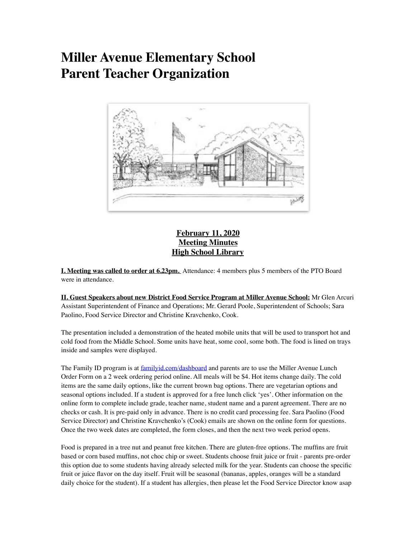# **Miller Avenue Elementary School Parent Teacher Organization**



## **February 11, 2020 Meeting Minutes High School Library**

**I. Meeting was called to order at 6.23pm.** Attendance: 4 members plus 5 members of the PTO Board were in attendance.

**II. Guest Speakers about new District Food Service Program at Miller Avenue School:** Mr Glen Arcuri Assistant Superintendent of Finance and Operations; Mr. Gerard Poole, Superintendent of Schools; Sara Paolino, Food Service Director and Christine Kravchenko, Cook.

The presentation included a demonstration of the heated mobile units that will be used to transport hot and cold food from the Middle School. Some units have heat, some cool, some both. The food is lined on trays inside and samples were displayed.

The Family ID program is at **[familyid.com/dashboard](http://family.com/dashboard)** and parents are to use the Miller Avenue Lunch Order Form on a 2 week ordering period online. All meals will be \$4. Hot items change daily. The cold items are the same daily options, like the current brown bag options. There are vegetarian options and seasonal options included. If a student is approved for a free lunch click 'yes'. Other information on the online form to complete include grade, teacher name, student name and a parent agreement. There are no checks or cash. It is pre-paid only in advance. There is no credit card processing fee. Sara Paolino (Food Service Director) and Christine Kravchenko's (Cook) emails are shown on the online form for questions. Once the two week dates are completed, the form closes, and then the next two week period opens.

Food is prepared in a tree nut and peanut free kitchen. There are gluten-free options. The muffins are fruit based or corn based muffins, not choc chip or sweet. Students choose fruit juice or fruit - parents pre-order this option due to some students having already selected milk for the year. Students can choose the specific fruit or juice flavor on the day itself. Fruit will be seasonal (bananas, apples, oranges will be a standard daily choice for the student). If a student has allergies, then please let the Food Service Director know asap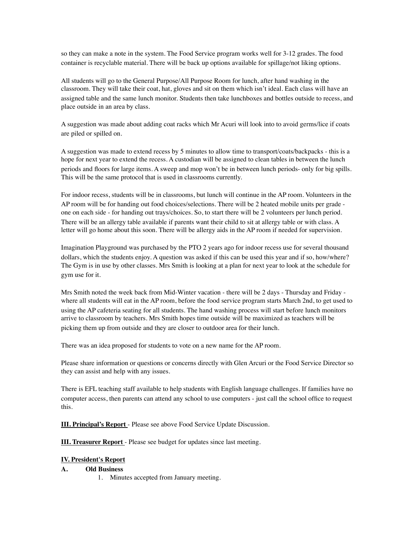so they can make a note in the system. The Food Service program works well for 3-12 grades. The food container is recyclable material. There will be back up options available for spillage/not liking options.

All students will go to the General Purpose/All Purpose Room for lunch, after hand washing in the classroom. They will take their coat, hat, gloves and sit on them which isn't ideal. Each class will have an assigned table and the same lunch monitor. Students then take lunchboxes and bottles outside to recess, and place outside in an area by class.

A suggestion was made about adding coat racks which Mr Acuri will look into to avoid germs/lice if coats are piled or spilled on.

A suggestion was made to extend recess by 5 minutes to allow time to transport/coats/backpacks - this is a hope for next year to extend the recess. A custodian will be assigned to clean tables in between the lunch periods and floors for large items. A sweep and mop won't be in between lunch periods- only for big spills. This will be the same protocol that is used in classrooms currently.

For indoor recess, students will be in classrooms, but lunch will continue in the AP room. Volunteers in the AP room will be for handing out food choices/selections. There will be 2 heated mobile units per grade one on each side - for handing out trays/choices. So, to start there will be 2 volunteers per lunch period. There will be an allergy table available if parents want their child to sit at allergy table or with class. A letter will go home about this soon. There will be allergy aids in the AP room if needed for supervision.

Imagination Playground was purchased by the PTO 2 years ago for indoor recess use for several thousand dollars, which the students enjoy. A question was asked if this can be used this year and if so, how/where? The Gym is in use by other classes. Mrs Smith is looking at a plan for next year to look at the schedule for gym use for it.

Mrs Smith noted the week back from Mid-Winter vacation - there will be 2 days - Thursday and Friday where all students will eat in the AP room, before the food service program starts March 2nd, to get used to using the AP cafeteria seating for all students. The hand washing process will start before lunch monitors arrive to classroom by teachers. Mrs Smith hopes time outside will be maximized as teachers will be picking them up from outside and they are closer to outdoor area for their lunch.

There was an idea proposed for students to vote on a new name for the AP room.

Please share information or questions or concerns directly with Glen Arcuri or the Food Service Director so they can assist and help with any issues.

There is EFL teaching staff available to help students with English language challenges. If families have no computer access, then parents can attend any school to use computers - just call the school office to request this.

**III. Principal's Report** - Please see above Food Service Update Discussion.

**III. Treasurer Report** - Please see budget for updates since last meeting.

### **IV. President's Report**

#### **A. Old Business**

1. Minutes accepted from January meeting.